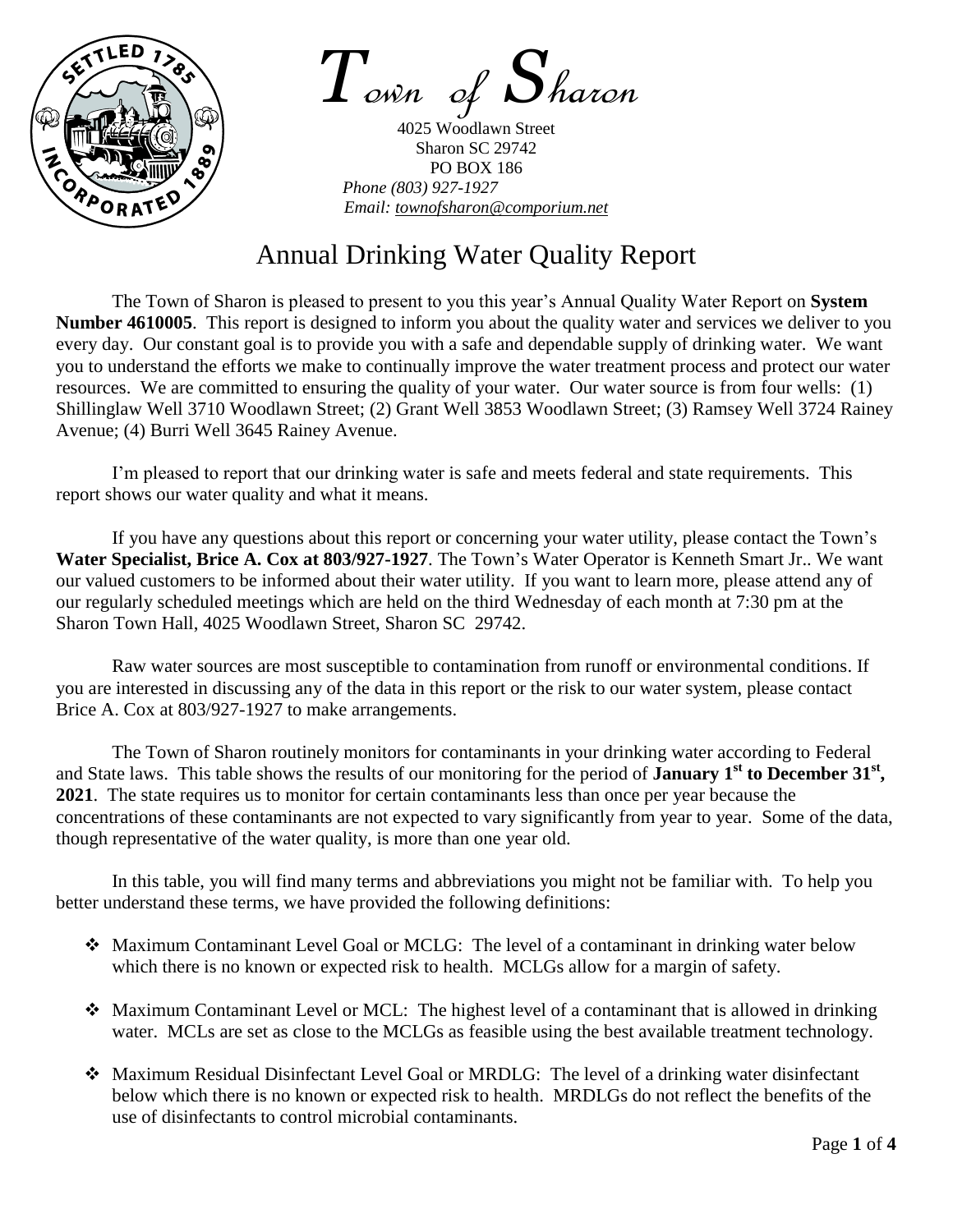

*T*own of *S*haron

4025 Woodlawn Street Sharon SC 29742 PO BOX 186 *Phone (803) 927-1927 Email: townofsharon@comporium.net*

## Annual Drinking Water Quality Report

The Town of Sharon is pleased to present to you this year's Annual Quality Water Report on **System Number 4610005**. This report is designed to inform you about the quality water and services we deliver to you every day. Our constant goal is to provide you with a safe and dependable supply of drinking water. We want you to understand the efforts we make to continually improve the water treatment process and protect our water resources. We are committed to ensuring the quality of your water. Our water source is from four wells: (1) Shillinglaw Well 3710 Woodlawn Street; (2) Grant Well 3853 Woodlawn Street; (3) Ramsey Well 3724 Rainey Avenue; (4) Burri Well 3645 Rainey Avenue.

I'm pleased to report that our drinking water is safe and meets federal and state requirements. This report shows our water quality and what it means.

If you have any questions about this report or concerning your water utility, please contact the Town's **Water Specialist, Brice A. Cox at 803/927-1927**. The Town's Water Operator is Kenneth Smart Jr.. We want our valued customers to be informed about their water utility. If you want to learn more, please attend any of our regularly scheduled meetings which are held on the third Wednesday of each month at 7:30 pm at the Sharon Town Hall, 4025 Woodlawn Street, Sharon SC 29742.

Raw water sources are most susceptible to contamination from runoff or environmental conditions. If you are interested in discussing any of the data in this report or the risk to our water system, please contact Brice A. Cox at 803/927-1927 to make arrangements.

The Town of Sharon routinely monitors for contaminants in your drinking water according to Federal and State laws. This table shows the results of our monitoring for the period of **January 1**<sup>st</sup> to December 31<sup>st</sup>, **2021**. The state requires us to monitor for certain contaminants less than once per year because the concentrations of these contaminants are not expected to vary significantly from year to year. Some of the data, though representative of the water quality, is more than one year old.

In this table, you will find many terms and abbreviations you might not be familiar with. To help you better understand these terms, we have provided the following definitions:

- Maximum Contaminant Level Goal or MCLG: The level of a contaminant in drinking water below which there is no known or expected risk to health. MCLGs allow for a margin of safety.
- Maximum Contaminant Level or MCL: The highest level of a contaminant that is allowed in drinking water. MCLs are set as close to the MCLGs as feasible using the best available treatment technology.
- Maximum Residual Disinfectant Level Goal or MRDLG: The level of a drinking water disinfectant below which there is no known or expected risk to health. MRDLGs do not reflect the benefits of the use of disinfectants to control microbial contaminants.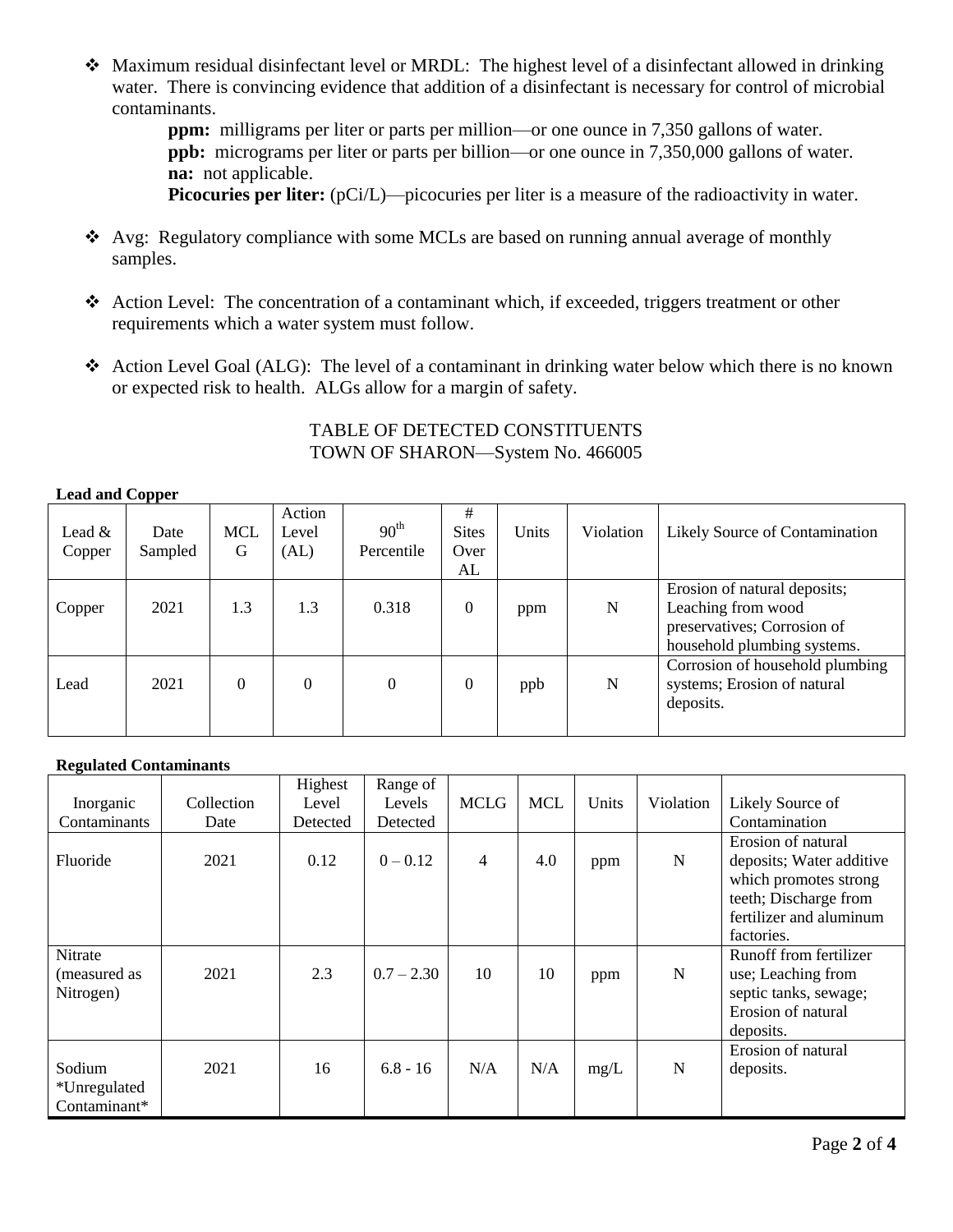Maximum residual disinfectant level or MRDL: The highest level of a disinfectant allowed in drinking water. There is convincing evidence that addition of a disinfectant is necessary for control of microbial contaminants.

**ppm:** milligrams per liter or parts per million—or one ounce in 7,350 gallons of water. **ppb:** micrograms per liter or parts per billion—or one ounce in 7,350,000 gallons of water. **na:** not applicable.

**Picocuries per liter:** (pCi/L)—picocuries per liter is a measure of the radioactivity in water.

- Avg: Regulatory compliance with some MCLs are based on running annual average of monthly samples.
- Action Level: The concentration of a contaminant which, if exceeded, triggers treatment or other requirements which a water system must follow.
- Action Level Goal (ALG): The level of a contaminant in drinking water below which there is no known or expected risk to health. ALGs allow for a margin of safety.

## TABLE OF DETECTED CONSTITUENTS TOWN OF SHARON—System No. 466005

## **Lead and Copper**

| Lead $&$<br>Copper | Date<br>Sampled | <b>MCL</b><br>G | Action<br>Level<br>(AL) | 90 <sup>th</sup><br>Percentile | #<br><b>Sites</b><br>Over<br>AL | Units | Violation | Likely Source of Contamination                                                                                   |
|--------------------|-----------------|-----------------|-------------------------|--------------------------------|---------------------------------|-------|-----------|------------------------------------------------------------------------------------------------------------------|
| Copper             | 2021            | 1.3             | 1.3                     | 0.318                          | $\Omega$                        | ppm   | N         | Erosion of natural deposits;<br>Leaching from wood<br>preservatives; Corrosion of<br>household plumbing systems. |
| Lead               | 2021            | $\Omega$        | $\overline{0}$          | $\theta$                       | $\theta$                        | ppb   | N         | Corrosion of household plumbing<br>systems; Erosion of natural<br>deposits.                                      |

## **Regulated Contaminants**

|                                        |            | Highest  | Range of     |                |            |       |           |                                                                                                                                           |
|----------------------------------------|------------|----------|--------------|----------------|------------|-------|-----------|-------------------------------------------------------------------------------------------------------------------------------------------|
| Inorganic                              | Collection | Level    | Levels       | <b>MCLG</b>    | <b>MCL</b> | Units | Violation | Likely Source of                                                                                                                          |
| Contaminants                           | Date       | Detected | Detected     |                |            |       |           | Contamination                                                                                                                             |
| Fluoride                               | 2021       | 0.12     | $0 - 0.12$   | $\overline{4}$ | 4.0        | ppm   | N         | Erosion of natural<br>deposits; Water additive<br>which promotes strong<br>teeth; Discharge from<br>fertilizer and aluminum<br>factories. |
| Nitrate<br>(measured as<br>Nitrogen)   | 2021       | 2.3      | $0.7 - 2.30$ | 10             | 10         | ppm   | N         | Runoff from fertilizer<br>use; Leaching from<br>septic tanks, sewage;<br>Erosion of natural<br>deposits.                                  |
| Sodium<br>*Unregulated<br>Contaminant* | 2021       | 16       | $6.8 - 16$   | N/A            | N/A        | mg/L  | N         | Erosion of natural<br>deposits.                                                                                                           |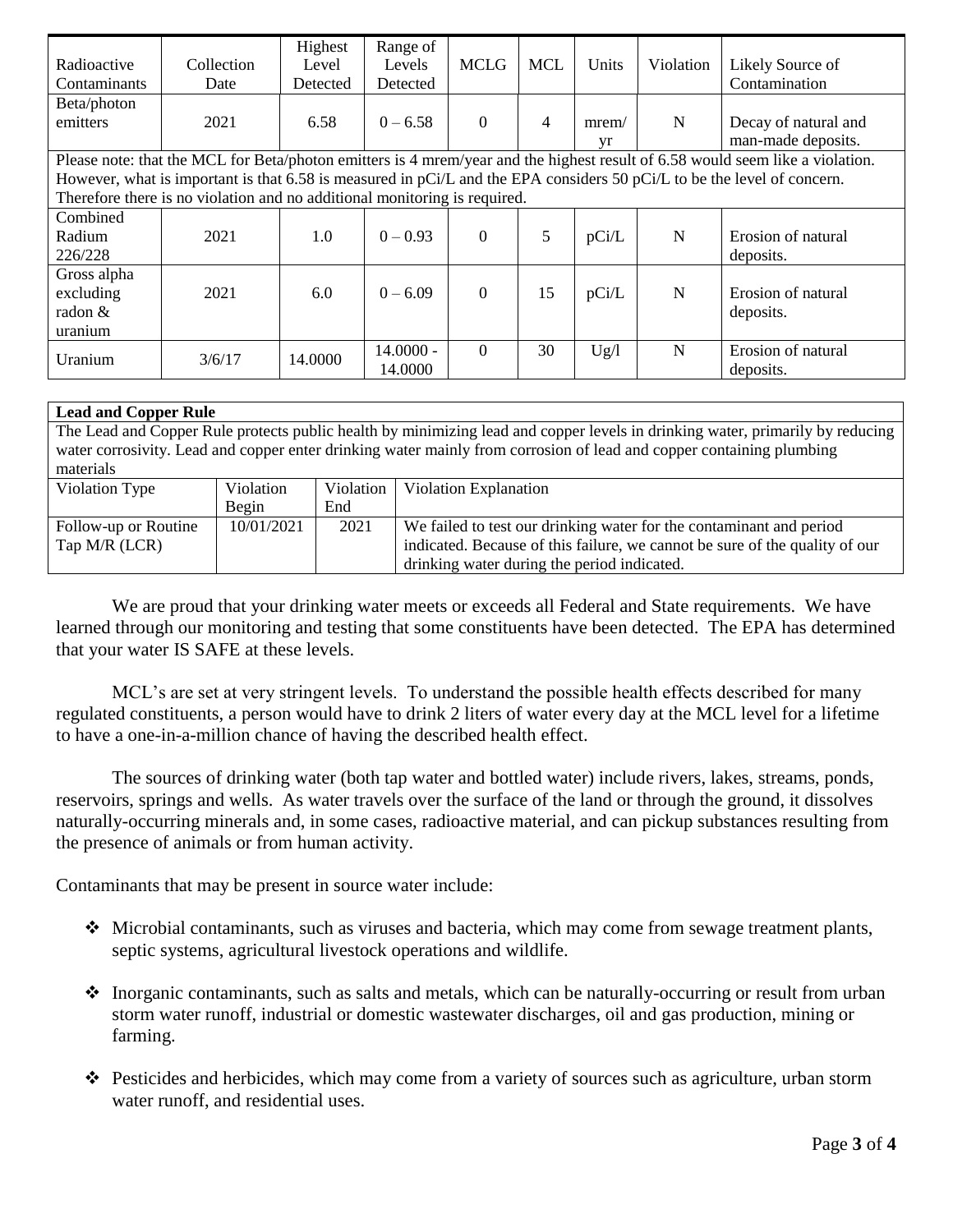| Radioactive<br>Contaminants                                                                                                                                                                                                                                                                                                           | Collection<br>Date | Highest<br>Level<br>Detected | Range of<br>Levels<br>Detected | <b>MCLG</b> | <b>MCL</b> | Units       | Violation | Likely Source of<br>Contamination          |
|---------------------------------------------------------------------------------------------------------------------------------------------------------------------------------------------------------------------------------------------------------------------------------------------------------------------------------------|--------------------|------------------------------|--------------------------------|-------------|------------|-------------|-----------|--------------------------------------------|
| Beta/photon<br>emitters                                                                                                                                                                                                                                                                                                               | 2021               | 6.58                         | $0 - 6.58$                     | $\Omega$    | 4          | mrem/<br>vr | N         | Decay of natural and<br>man-made deposits. |
| Please note: that the MCL for Beta/photon emitters is 4 mrem/year and the highest result of 6.58 would seem like a violation.<br>However, what is important is that 6.58 is measured in pCi/L and the EPA considers 50 pCi/L to be the level of concern.<br>Therefore there is no violation and no additional monitoring is required. |                    |                              |                                |             |            |             |           |                                            |
| Combined<br>Radium<br>226/228                                                                                                                                                                                                                                                                                                         | 2021               | 1.0                          | $0 - 0.93$                     | $\Omega$    | 5          | pCi/L       | N         | Erosion of natural<br>deposits.            |
| Gross alpha<br>excluding<br>radon &<br>uranium                                                                                                                                                                                                                                                                                        | 2021               | 6.0                          | $0 - 6.09$                     | $\Omega$    | 15         | pCi/L       | N         | Erosion of natural<br>deposits.            |
| Uranium                                                                                                                                                                                                                                                                                                                               | 3/6/17             | 14.0000                      | $14.0000 -$<br>14.0000         | $\theta$    | 30         | Ug/l        | N         | Erosion of natural<br>deposits.            |

| <b>Lead and Copper Rule</b>                                                                                                   |                                                                                                                      |           |                                                                             |  |  |  |  |
|-------------------------------------------------------------------------------------------------------------------------------|----------------------------------------------------------------------------------------------------------------------|-----------|-----------------------------------------------------------------------------|--|--|--|--|
| The Lead and Copper Rule protects public health by minimizing lead and copper levels in drinking water, primarily by reducing |                                                                                                                      |           |                                                                             |  |  |  |  |
|                                                                                                                               | water corrosivity. Lead and copper enter drinking water mainly from corrosion of lead and copper containing plumbing |           |                                                                             |  |  |  |  |
| materials                                                                                                                     |                                                                                                                      |           |                                                                             |  |  |  |  |
| Violation Type                                                                                                                | Violation                                                                                                            | Violation | <b>Violation Explanation</b>                                                |  |  |  |  |
|                                                                                                                               | Begin                                                                                                                | End       |                                                                             |  |  |  |  |
| Follow-up or Routine                                                                                                          | 10/01/2021                                                                                                           | 2021      | We failed to test our drinking water for the contaminant and period         |  |  |  |  |
| Tap M/R (LCR)                                                                                                                 |                                                                                                                      |           | indicated. Because of this failure, we cannot be sure of the quality of our |  |  |  |  |
|                                                                                                                               |                                                                                                                      |           | drinking water during the period indicated.                                 |  |  |  |  |

We are proud that your drinking water meets or exceeds all Federal and State requirements. We have learned through our monitoring and testing that some constituents have been detected. The EPA has determined that your water IS SAFE at these levels.

MCL's are set at very stringent levels. To understand the possible health effects described for many regulated constituents, a person would have to drink 2 liters of water every day at the MCL level for a lifetime to have a one-in-a-million chance of having the described health effect.

The sources of drinking water (both tap water and bottled water) include rivers, lakes, streams, ponds, reservoirs, springs and wells. As water travels over the surface of the land or through the ground, it dissolves naturally-occurring minerals and, in some cases, radioactive material, and can pickup substances resulting from the presence of animals or from human activity.

Contaminants that may be present in source water include:

- Microbial contaminants, such as viruses and bacteria, which may come from sewage treatment plants, septic systems, agricultural livestock operations and wildlife.
- Inorganic contaminants, such as salts and metals, which can be naturally-occurring or result from urban storm water runoff, industrial or domestic wastewater discharges, oil and gas production, mining or farming.
- Pesticides and herbicides, which may come from a variety of sources such as agriculture, urban storm water runoff, and residential uses.